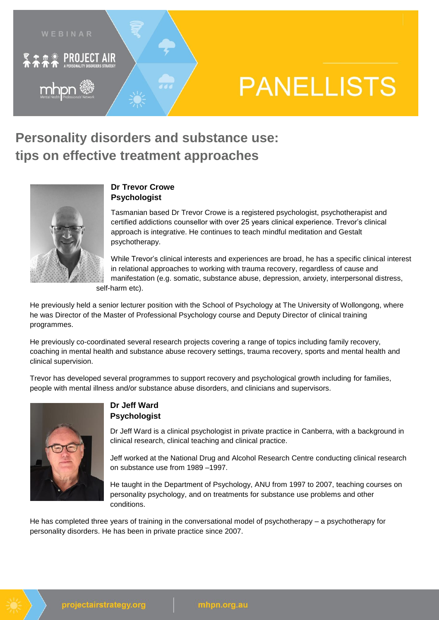

# **PANELLISTS**

## **Personality disorders and substance use: tips on effective treatment approaches**



#### **Dr Trevor Crowe Psychologist**

Tasmanian based Dr Trevor Crowe is a registered psychologist, psychotherapist and certified addictions counsellor with over 25 years clinical experience. Trevor's clinical approach is integrative. He continues to teach mindful meditation and Gestalt psychotherapy.

While Trevor's clinical interests and experiences are broad, he has a specific clinical interest in relational approaches to working with trauma recovery, regardless of cause and manifestation (e.g. somatic, substance abuse, depression, anxiety, interpersonal distress, self-harm etc).

He previously held a senior lecturer position with the School of Psychology at The University of Wollongong, where he was Director of the Master of Professional Psychology course and Deputy Director of clinical training programmes.

He previously co-coordinated several research projects covering a range of topics including family recovery, coaching in mental health and substance abuse recovery settings, trauma recovery, sports and mental health and clinical supervision.

Trevor has developed several programmes to support recovery and psychological growth including for families, people with mental illness and/or substance abuse disorders, and clinicians and supervisors.



#### **Dr Jeff Ward Psychologist**

Dr Jeff Ward is a clinical psychologist in private practice in Canberra, with a background in clinical research, clinical teaching and clinical practice.

Jeff worked at the National Drug and Alcohol Research Centre conducting clinical research on substance use from 1989 –1997.

He taught in the Department of Psychology, ANU from 1997 to 2007, teaching courses on personality psychology, and on treatments for substance use problems and other conditions.

He has completed three years of training in the conversational model of psychotherapy – a psychotherapy for personality disorders. He has been in private practice since 2007.